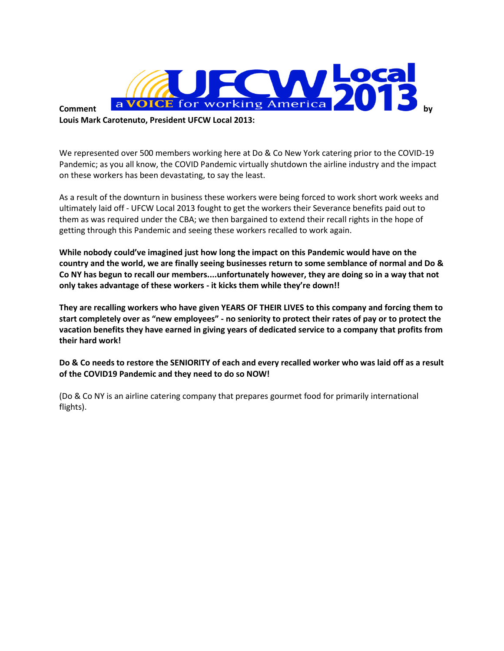

**Louis Mark Carotenuto, President UFCW Local 2013:**

We represented over 500 members working here at Do & Co New York catering prior to the COVID-19 Pandemic; as you all know, the COVID Pandemic virtually shutdown the airline industry and the impact on these workers has been devastating, to say the least.

As a result of the downturn in business these workers were being forced to work short work weeks and ultimately laid off - UFCW Local 2013 fought to get the workers their Severance benefits paid out to them as was required under the CBA; we then bargained to extend their recall rights in the hope of getting through this Pandemic and seeing these workers recalled to work again.

**While nobody could've imagined just how long the impact on this Pandemic would have on the country and the world, we are finally seeing businesses return to some semblance of normal and Do & Co NY has begun to recall our members....unfortunately however, they are doing so in a way that not only takes advantage of these workers - it kicks them while they're down!!**

**They are recalling workers who have given YEARS OF THEIR LIVES to this company and forcing them to start completely over as "new employees" - no seniority to protect their rates of pay or to protect the vacation benefits they have earned in giving years of dedicated service to a company that profits from their hard work!**

**Do & Co needs to restore the SENIORITY of each and every recalled worker who was laid off as a result of the COVID19 Pandemic and they need to do so NOW!** 

(Do & Co NY is an airline catering company that prepares gourmet food for primarily international flights).